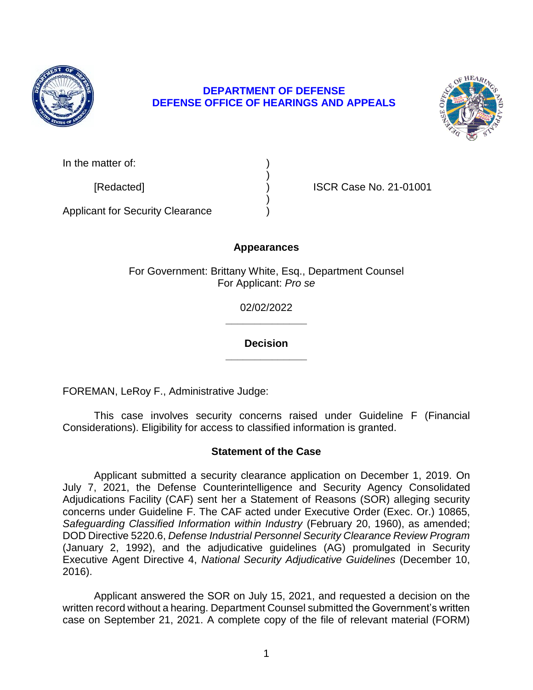

## **DEFENSE OFFICE OF HEARINGS AND APPEALS DEPARTMENT OF DEFENSE**



| In the matter of: |  |
|-------------------|--|
|                   |  |

[Redacted] ) ISCR Case No. 21-01001

Applicant for Security Clearance )

# **Appearances**

)

)

For Government: Brittany White, Esq., Department Counsel For Applicant: *Pro se* 

> **\_\_\_\_\_\_\_\_\_\_\_\_\_\_**  02/02/2022

> **\_\_\_\_\_\_\_\_\_\_\_\_\_\_ Decision**

FOREMAN, LeRoy F., Administrative Judge:

 This case involves security concerns raised under Guideline F (Financial Considerations). Eligibility for access to classified information is granted.

# **Statement of the Case**

 Applicant submitted a security clearance application on December 1, 2019. On July 7, 2021, the Defense Counterintelligence and Security Agency Consolidated concerns under Guideline F. The CAF acted under Executive Order (Exec. Or.) 10865, Safeguarding Classified Information within Industry (February 20, 1960), as amended;  DOD Directive 5220.6, *Defense Industrial Personnel Security Clearance Review Program*  (January 2, 1992), and the adjudicative guidelines (AG) promulgated in Security Adjudications Facility (CAF) sent her a Statement of Reasons (SOR) alleging security Executive Agent Directive 4, *National Security Adjudicative Guidelines* (December 10, 2016).

 Applicant answered the SOR on July 15, 2021, and requested a decision on the written record without a hearing. Department Counsel submitted the Government's written case on September 21, 2021. A complete copy of the file of relevant material (FORM)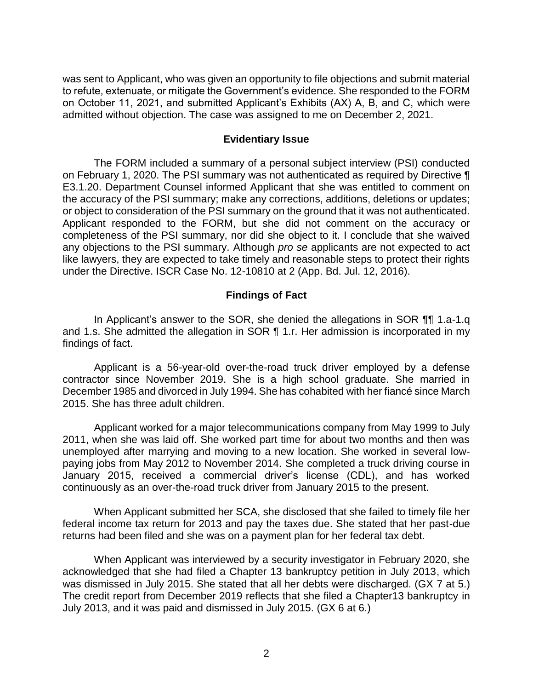was sent to Applicant, who was given an opportunity to file objections and submit material to refute, extenuate, or mitigate the Government's evidence. She responded to the FORM on October 11, 2021, and submitted Applicant's Exhibits (AX) A, B, and C, which were admitted without objection. The case was assigned to me on December 2, 2021.

#### **Evidentiary Issue**

 The FORM included a summary of a personal subject interview (PSI) conducted on February 1, 2020. The PSI summary was not authenticated as required by Directive ¶ E3.1.20. Department Counsel informed Applicant that she was entitled to comment on the accuracy of the PSI summary; make any corrections, additions, deletions or updates; or object to consideration of the PSI summary on the ground that it was not authenticated. Applicant responded to the FORM, but she did not comment on the accuracy or completeness of the PSI summary, nor did she object to it. I conclude that she waived any objections to the PSI summary. Although *pro se* applicants are not expected to act like lawyers, they are expected to take timely and reasonable steps to protect their rights under the Directive. ISCR Case No. 12-10810 at 2 (App. Bd. Jul. 12, 2016).

### **Findings of Fact**

 In Applicant's answer to the SOR, she denied the allegations in SOR ¶¶ 1.a-1.q and 1.s. She admitted the allegation in SOR ¶ 1.r. Her admission is incorporated in my findings of fact.

 Applicant is a 56-year-old over-the-road truck driver employed by a defense contractor since November 2019. She is a high school graduate. She married in December 1985 and divorced in July 1994. She has cohabited with her fiancé since March 2015. She has three adult children.

 Applicant worked for a major telecommunications company from May 1999 to July 2011, when she was laid off. She worked part time for about two months and then was unemployed after marrying and moving to a new location. She worked in several low- paying jobs from May 2012 to November 2014. She completed a truck driving course in January 2015, received a commercial driver's license (CDL), and has worked continuously as an over-the-road truck driver from January 2015 to the present.

 When Applicant submitted her SCA, she disclosed that she failed to timely file her federal income tax return for 2013 and pay the taxes due. She stated that her past-due returns had been filed and she was on a payment plan for her federal tax debt.

 When Applicant was interviewed by a security investigator in February 2020, she acknowledged that she had filed a Chapter 13 bankruptcy petition in July 2013, which was dismissed in July 2015. She stated that all her debts were discharged. (GX 7 at 5.) The credit report from December 2019 reflects that she filed a Chapter13 bankruptcy in July 2013, and it was paid and dismissed in July 2015. (GX 6 at 6.)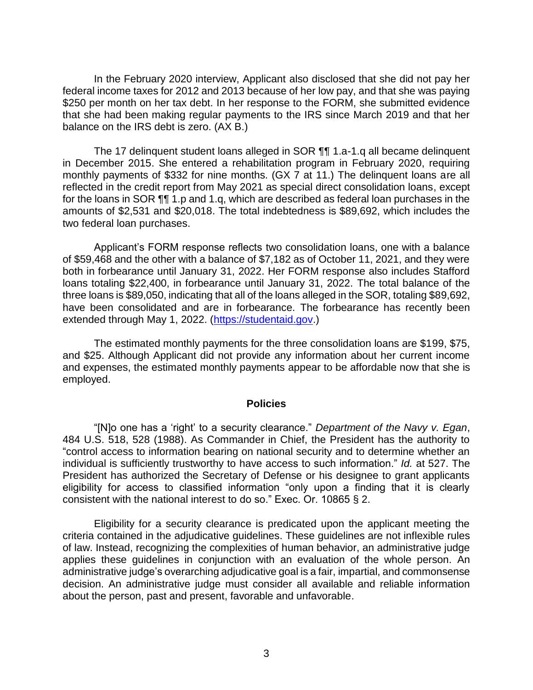In the February 2020 interview, Applicant also disclosed that she did not pay her federal income taxes for 2012 and 2013 because of her low pay, and that she was paying \$250 per month on her tax debt. In her response to the FORM, she submitted evidence that she had been making regular payments to the IRS since March 2019 and that her balance on the IRS debt is zero. (AX B.)

 The 17 delinquent student loans alleged in SOR ¶¶ 1.a-1.q all became delinquent in December 2015. She entered a rehabilitation program in February 2020, requiring monthly payments of \$332 for nine months. (GX 7 at 11.) The delinquent loans are all reflected in the credit report from May 2021 as special direct consolidation loans, except for the loans in SOR  $\P$  1.p and 1.q, which are described as federal loan purchases in the amounts of \$2,531 and \$20,018. The total indebtedness is \$89,692, which includes the two federal loan purchases.

 Applicant's FORM response reflects two consolidation loans, one with a balance of \$59,468 and the other with a balance of \$7,182 as of October 11, 2021, and they were both in forbearance until January 31, 2022. Her FORM response also includes Stafford three loans is \$89,050, indicating that all of the loans alleged in the SOR, totaling \$89,692, have been consolidated and are in forbearance. The forbearance has recently been loans totaling \$22,400, in forbearance until January 31, 2022. The total balance of the extended through May 1, 2022. (https://studentaid.gov.)

 The estimated monthly payments for the three consolidation loans are \$199, \$75, and \$25. Although Applicant did not provide any information about her current income and expenses, the estimated monthly payments appear to be affordable now that she is employed.

#### **Policies**

 "[N]o one has a 'right' to a security clearance." *Department of the Navy v. Egan*, 484 U.S. 518, 528 (1988). As Commander in Chief, the President has the authority to "control access to information bearing on national security and to determine whether an individual is sufficiently trustworthy to have access to such information." *Id.* at 527. The President has authorized the Secretary of Defense or his designee to grant applicants eligibility for access to classified information "only upon a finding that it is clearly consistent with the national interest to do so." Exec. Or. 10865 § 2.

 Eligibility for a security clearance is predicated upon the applicant meeting the criteria contained in the adjudicative guidelines. These guidelines are not inflexible rules applies these guidelines in conjunction with an evaluation of the whole person. An administrative judge's overarching adjudicative goal is a fair, impartial, and commonsense about the person, past and present, favorable and unfavorable. of law. Instead, recognizing the complexities of human behavior, an administrative judge decision. An administrative judge must consider all available and reliable information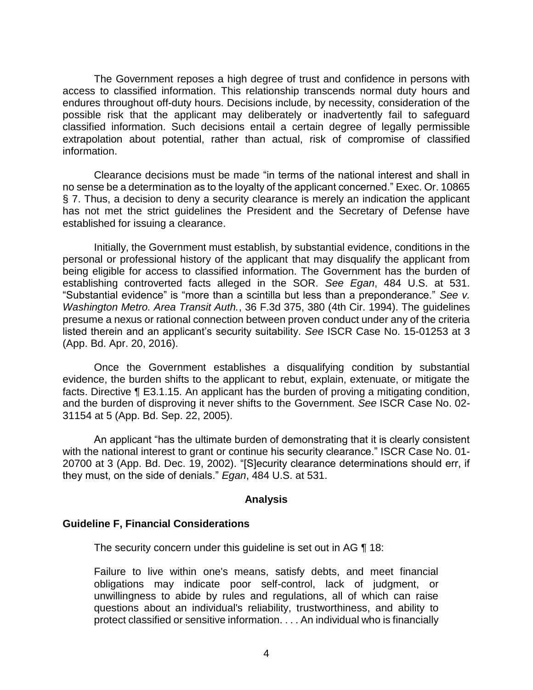The Government reposes a high degree of trust and confidence in persons with access to classified information. This relationship transcends normal duty hours and endures throughout off-duty hours. Decisions include, by necessity, consideration of the possible risk that the applicant may deliberately or inadvertently fail to safeguard classified information. Such decisions entail a certain degree of legally permissible extrapolation about potential, rather than actual, risk of compromise of classified information.

 Clearance decisions must be made "in terms of the national interest and shall in no sense be a determination as to the loyalty of the applicant concerned." Exec. Or. 10865 § 7. Thus, a decision to deny a security clearance is merely an indication the applicant has not met the strict guidelines the President and the Secretary of Defense have established for issuing a clearance.

 Initially, the Government must establish, by substantial evidence, conditions in the personal or professional history of the applicant that may disqualify the applicant from being eligible for access to classified information. The Government has the burden of establishing controverted facts alleged in the SOR. *See Egan*, 484 U.S. at 531. "Substantial evidence" is "more than a scintilla but less than a preponderance." *See v. Washington Metro. Area Transit Auth.*, 36 F.3d 375, 380 (4th Cir. 1994). The guidelines presume a nexus or rational connection between proven conduct under any of the criteria listed therein and an applicant's security suitability. *See* ISCR Case No. 15-01253 at 3 (App. Bd. Apr. 20, 2016).

Once the Government establishes a disqualifying condition by substantial evidence, the burden shifts to the applicant to rebut, explain, extenuate, or mitigate the facts. Directive ¶ E3.1.15. An applicant has the burden of proving a mitigating condition, and the burden of disproving it never shifts to the Government. *See* ISCR Case No. 02- 31154 at 5 (App. Bd. Sep. 22, 2005).

An applicant "has the ultimate burden of demonstrating that it is clearly consistent with the national interest to grant or continue his security clearance." ISCR Case No. 01- 20700 at 3 (App. Bd. Dec. 19, 2002). "[S]ecurity clearance determinations should err, if they must, on the side of denials." *Egan*, 484 U.S. at 531.

#### **Analysis**

## **Guideline F, Financial Considerations**

The security concern under this guideline is set out in AG ¶ 18:

Failure to live within one's means, satisfy debts, and meet financial obligations may indicate poor self-control, lack of judgment, or unwillingness to abide by rules and regulations, all of which can raise questions about an individual's reliability, trustworthiness, and ability to protect classified or sensitive information. . . . An individual who is financially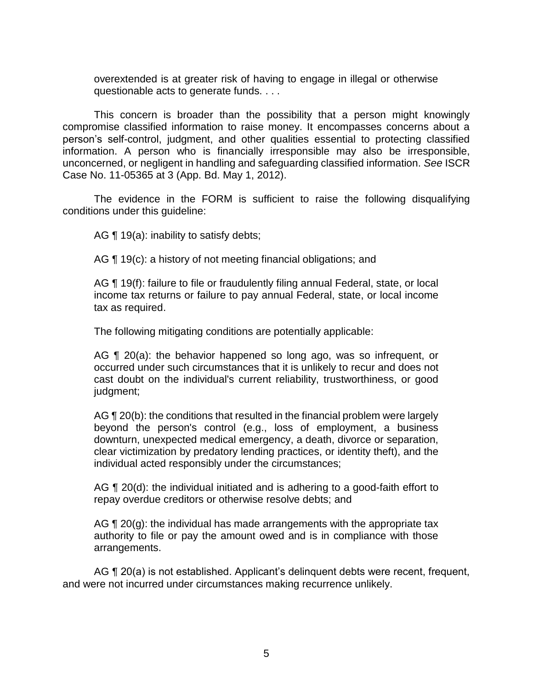overextended is at greater risk of having to engage in illegal or otherwise questionable acts to generate funds. . . .

 This concern is broader than the possibility that a person might knowingly compromise classified information to raise money. It encompasses concerns about a person's self-control, judgment, and other qualities essential to protecting classified information. A person who is financially irresponsible may also be irresponsible, unconcerned, or negligent in handling and safeguarding classified information. *See* ISCR Case No. 11-05365 at 3 (App. Bd. May 1, 2012).

 The evidence in the FORM is sufficient to raise the following disqualifying conditions under this guideline:

AG  $\P$  19(a): inability to satisfy debts;

AG ¶ 19(c): a history of not meeting financial obligations; and

 income tax returns or failure to pay annual Federal, state, or local income AG ¶ 19(f): failure to file or fraudulently filing annual Federal, state, or local tax as required.

The following mitigating conditions are potentially applicable:

AG ¶ 20(a): the behavior happened so long ago, was so infrequent, or occurred under such circumstances that it is unlikely to recur and does not cast doubt on the individual's current reliability, trustworthiness, or good judgment;

AG ¶ 20(b): the conditions that resulted in the financial problem were largely beyond the person's control (e.g., loss of employment, a business clear victimization by predatory lending practices, or identity theft), and the downturn, unexpected medical emergency, a death, divorce or separation, individual acted responsibly under the circumstances;

AG ¶ 20(d): the individual initiated and is adhering to a good-faith effort to repay overdue creditors or otherwise resolve debts; and

AG  $\P$  20(g): the individual has made arrangements with the appropriate tax authority to file or pay the amount owed and is in compliance with those arrangements.

AG ¶ 20(a) is not established. Applicant's delinquent debts were recent, frequent, and were not incurred under circumstances making recurrence unlikely.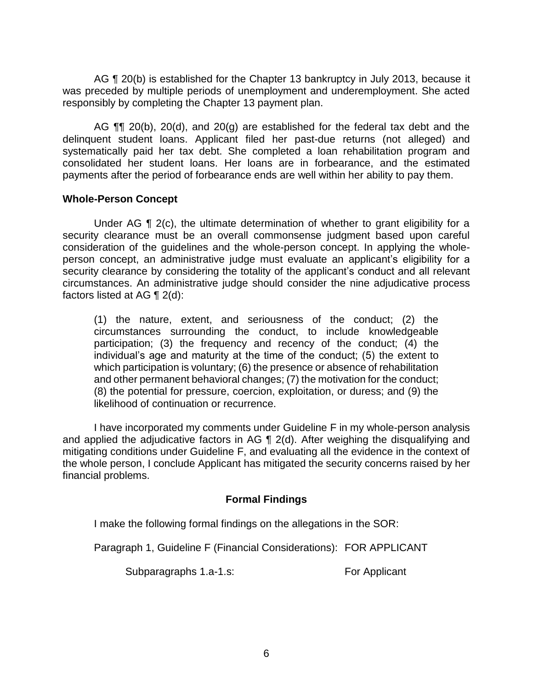AG ¶ 20(b) is established for the Chapter 13 bankruptcy in July 2013, because it was preceded by multiple periods of unemployment and underemployment. She acted responsibly by completing the Chapter 13 payment plan.

AG  $\P$  20(b), 20(d), and 20(g) are established for the federal tax debt and the delinquent student loans. Applicant filed her past-due returns (not alleged) and systematically paid her tax debt. She completed a loan rehabilitation program and consolidated her student loans. Her loans are in forbearance, and the estimated payments after the period of forbearance ends are well within her ability to pay them.

### **Whole-Person Concept**

Under AG ¶ 2(c), the ultimate determination of whether to grant eligibility for a security clearance must be an overall commonsense judgment based upon careful consideration of the guidelines and the whole-person concept. In applying the whole- person concept, an administrative judge must evaluate an applicant's eligibility for a security clearance by considering the totality of the applicant's conduct and all relevant circumstances. An administrative judge should consider the nine adjudicative process factors listed at AG ¶ 2(d):

 (1) the nature, extent, and seriousness of the conduct; (2) the circumstances surrounding the conduct, to include knowledgeable participation; (3) the frequency and recency of the conduct; (4) the individual's age and maturity at the time of the conduct; (5) the extent to which participation is voluntary; (6) the presence or absence of rehabilitation and other permanent behavioral changes; (7) the motivation for the conduct; (8) the potential for pressure, coercion, exploitation, or duress; and (9) the likelihood of continuation or recurrence.

 I have incorporated my comments under Guideline F in my whole-person analysis and applied the adjudicative factors in AG ¶ 2(d). After weighing the disqualifying and mitigating conditions under Guideline F, and evaluating all the evidence in the context of the whole person, I conclude Applicant has mitigated the security concerns raised by her financial problems.

## **Formal Findings**

I make the following formal findings on the allegations in the SOR:

Paragraph 1, Guideline F (Financial Considerations): FOR APPLICANT

Subparagraphs 1.a-1.s: For Applicant